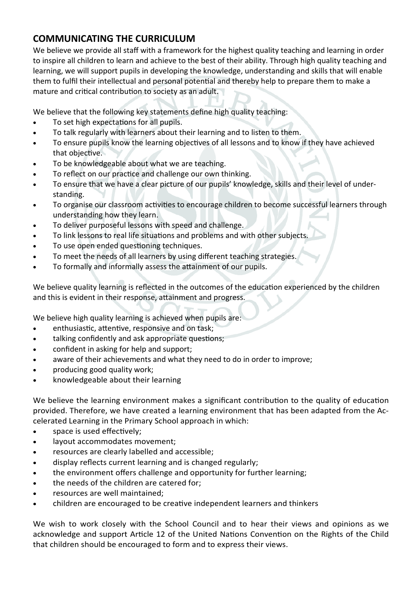# **COMMUNICATING THE CURRICULUM**

We believe we provide all staff with a framework for the highest quality teaching and learning in order to inspire all children to learn and achieve to the best of their ability. Through high quality teaching and learning, we will support pupils in developing the knowledge, understanding and skills that will enable them to fulfil their intellectual and personal potential and thereby help to prepare them to make a mature and critical contribution to society as an adult.

We believe that the following key statements define high quality teaching:

- To set high expectations for all pupils.
- To talk regularly with learners about their learning and to listen to them.
- To ensure pupils know the learning objectives of all lessons and to know if they have achieved that objective.
- To be knowledgeable about what we are teaching.
- To reflect on our practice and challenge our own thinking.
- To ensure that we have a clear picture of our pupils' knowledge, skills and their level of understanding.
- To organise our classroom activities to encourage children to become successful learners through understanding how they learn.
- To deliver purposeful lessons with speed and challenge.
- To link lessons to real life situations and problems and with other subjects.
- To use open ended questioning techniques.
- To meet the needs of all learners by using different teaching strategies.
- To formally and informally assess the attainment of our pupils.

We believe quality learning is reflected in the outcomes of the education experienced by the children and this is evident in their response, attainment and progress.

We believe high quality learning is achieved when pupils are:

- enthusiastic, attentive, responsive and on task;
- talking confidently and ask appropriate questions;
- confident in asking for help and support;
- aware of their achievements and what they need to do in order to improve;
- producing good quality work;
- knowledgeable about their learning

We believe the learning environment makes a significant contribution to the quality of education provided. Therefore, we have created a learning environment that has been adapted from the Accelerated Learning in the Primary School approach in which:

- space is used effectively;
- layout accommodates movement;
- resources are clearly labelled and accessible;
- display reflects current learning and is changed regularly;
- the environment offers challenge and opportunity for further learning;
- the needs of the children are catered for;
- resources are well maintained;
- children are encouraged to be creative independent learners and thinkers

We wish to work closely with the School Council and to hear their views and opinions as we acknowledge and support Article 12 of the United Nations Convention on the Rights of the Child that children should be encouraged to form and to express their views.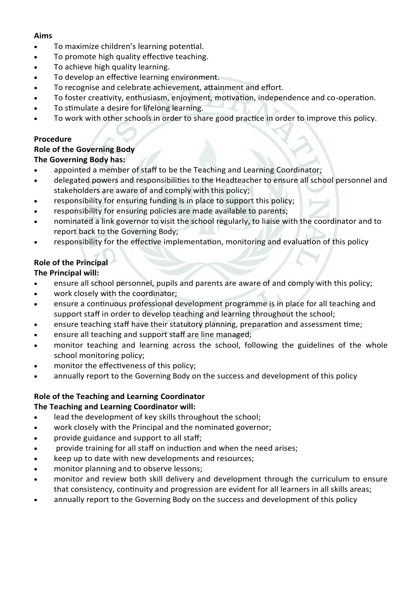#### **Aims**

- To maximize children's learning potential.
- To promote high quality effective teaching.
- To achieve high quality learning.
- To develop an effective learning environment.
- To recognise and celebrate achievement, attainment and effort.
- To foster creativity, enthusiasm, enjoyment, motivation, independence and co-operation.
- To stimulate a desire for lifelong learning.
- To work with other schools in order to share good practice in order to improve this policy.

#### **Procedure**

#### **Role of the Governing Body The Governing Body has:**

- appointed a member of staff to be the Teaching and Learning Coordinator;
- delegated powers and responsibilities to the Headteacher to ensure all school personnel and stakeholders are aware of and comply with this policy;
- responsibility for ensuring funding is in place to support this policy;
- responsibility for ensuring policies are made available to parents;
- nominated a link governor to visit the school regularly, to liaise with the coordinator and to report back to the Governing Body;
- responsibility for the effective implementation, monitoring and evaluation of this policy

### **Role of the Principal**

### **The Principal will:**

- ensure all school personnel, pupils and parents are aware of and comply with this policy;
- work closely with the coordinator;
- ensure a continuous professional development programme is in place for all teaching and support staff in order to develop teaching and learning throughout the school;
- ensure teaching staff have their statutory planning, preparation and assessment time;
- ensure all teaching and support staff are line managed;
- monitor teaching and learning across the school, following the guidelines of the whole school monitoring policy;
- monitor the effectiveness of this policy;
- annually report to the Governing Body on the success and development of this policy

### **Role of the Teaching and Learning Coordinator**

### **The Teaching and Learning Coordinator will:**

- lead the development of key skills throughout the school;
- work closely with the Principal and the nominated governor;
- provide guidance and support to all staff;
- provide training for all staff on induction and when the need arises;
- keep up to date with new developments and resources;
- monitor planning and to observe lessons;
- monitor and review both skill delivery and development through the curriculum to ensure that consistency, continuity and progression are evident for all learners in all skills areas;
- annually report to the Governing Body on the success and development of this policy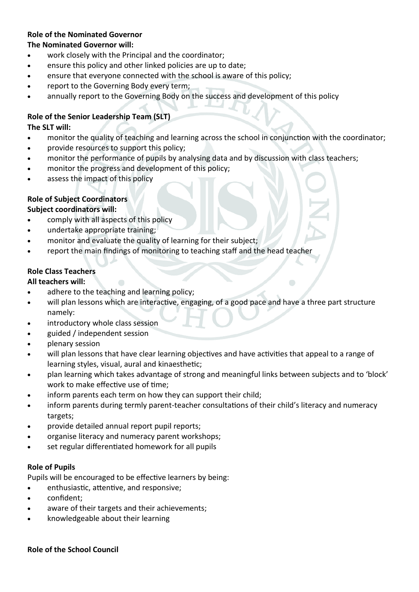### **Role of the Nominated Governor**

### **The Nominated Governor will:**

- work closely with the Principal and the coordinator;
- ensure this policy and other linked policies are up to date;
- ensure that everyone connected with the school is aware of this policy;
- report to the Governing Body every term;
- annually report to the Governing Body on the success and development of this policy

### **Role of the Senior Leadership Team (SLT)**

#### **The SLT will:**

- monitor the quality of teaching and learning across the school in conjunction with the coordinator;
- provide resources to support this policy;
- monitor the performance of pupils by analysing data and by discussion with class teachers;
- monitor the progress and development of this policy;
- assess the impact of this policy

### **Role of Subject Coordinators**

### **Subject coordinators will:**

- comply with all aspects of this policy
- undertake appropriate training;
- monitor and evaluate the quality of learning for their subject;
- report the main findings of monitoring to teaching staff and the head teacher

### **Role Class Teachers**

### **All teachers will:**

- adhere to the teaching and learning policy;
- will plan lessons which are interactive, engaging, of a good pace and have a three part structure namely:
- introductory whole class session
- guided / independent session
- plenary session
- will plan lessons that have clear learning objectives and have activities that appeal to a range of learning styles, visual, aural and kinaesthetic;
- plan learning which takes advantage of strong and meaningful links between subjects and to 'block' work to make effective use of time;
- inform parents each term on how they can support their child;
- inform parents during termly parent-teacher consultations of their child's literacy and numeracy targets;
- provide detailed annual report pupil reports;
- organise literacy and numeracy parent workshops;
- set regular differentiated homework for all pupils

### **Role of Pupils**

Pupils will be encouraged to be effective learners by being:

- enthusiastic, attentive, and responsive;
- confident:
- aware of their targets and their achievements;
- knowledgeable about their learning